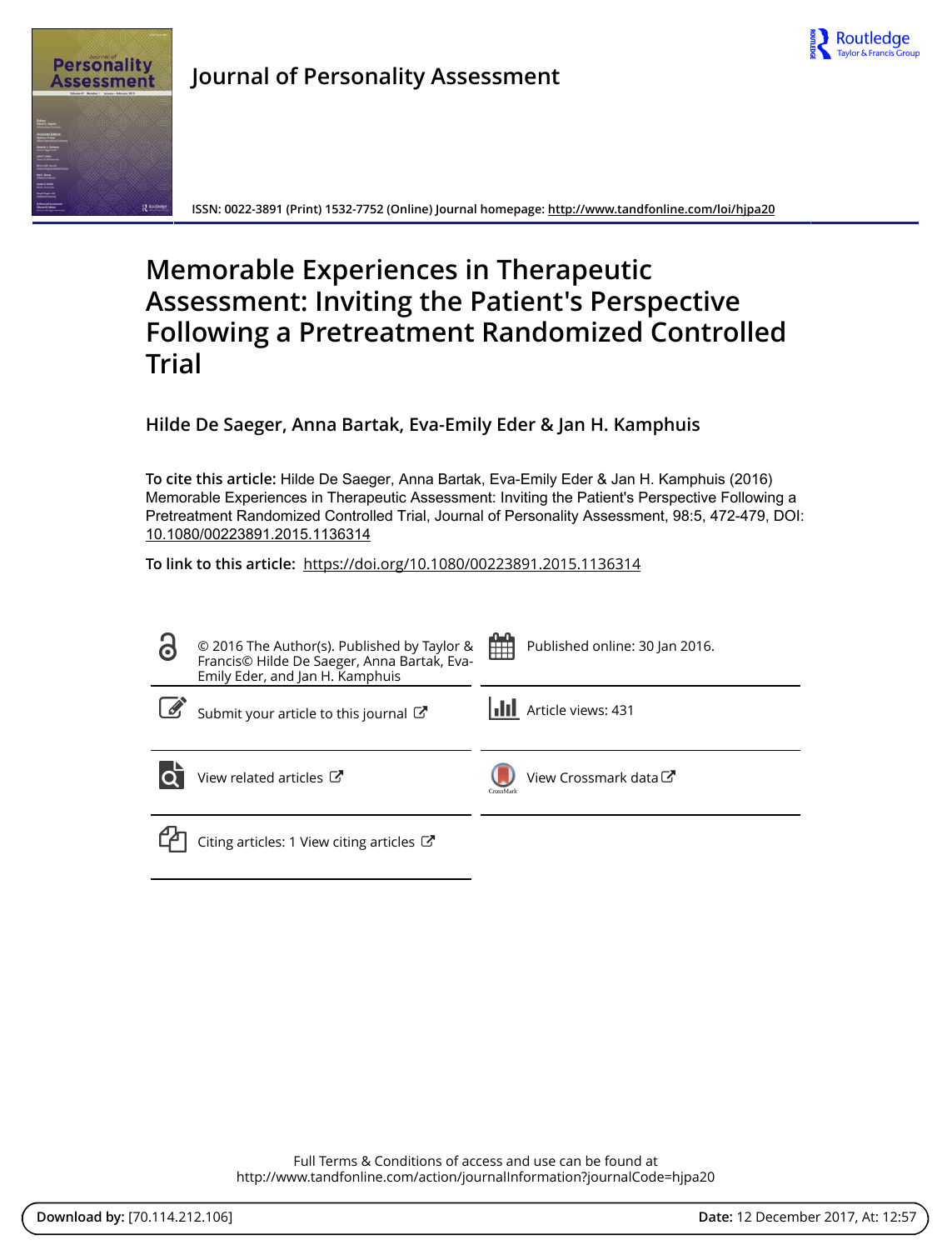



**ISSN: 0022-3891 (Print) 1532-7752 (Online) Journal homepage:<http://www.tandfonline.com/loi/hjpa20>**

# **Memorable Experiences in Therapeutic Assessment: Inviting the Patient's Perspective Following a Pretreatment Randomized Controlled Trial**

**Hilde De Saeger, Anna Bartak, Eva-Emily Eder & Jan H. Kamphuis**

**To cite this article:** Hilde De Saeger, Anna Bartak, Eva-Emily Eder & Jan H. Kamphuis (2016) Memorable Experiences in Therapeutic Assessment: Inviting the Patient's Perspective Following a Pretreatment Randomized Controlled Trial, Journal of Personality Assessment, 98:5, 472-479, DOI: [10.1080/00223891.2015.1136314](http://www.tandfonline.com/action/showCitFormats?doi=10.1080/00223891.2015.1136314)

**To link to this article:** <https://doi.org/10.1080/00223891.2015.1136314>

| 8         | © 2016 The Author(s). Published by Taylor &<br>Francis© Hilde De Saeger, Anna Bartak, Eva-<br>Emily Eder, and Jan H. Kamphuis | 巤         | Published online: 30 Jan 2016.   |
|-----------|-------------------------------------------------------------------------------------------------------------------------------|-----------|----------------------------------|
| $\bigcup$ | Submit your article to this journal C                                                                                         |           | Article views: 431               |
|           | View related articles C                                                                                                       | CrossMark | View Crossmark data <sup>C</sup> |
|           | Citing articles: 1 View citing articles $\mathbb{Z}$                                                                          |           |                                  |

Full Terms & Conditions of access and use can be found at <http://www.tandfonline.com/action/journalInformation?journalCode=hjpa20>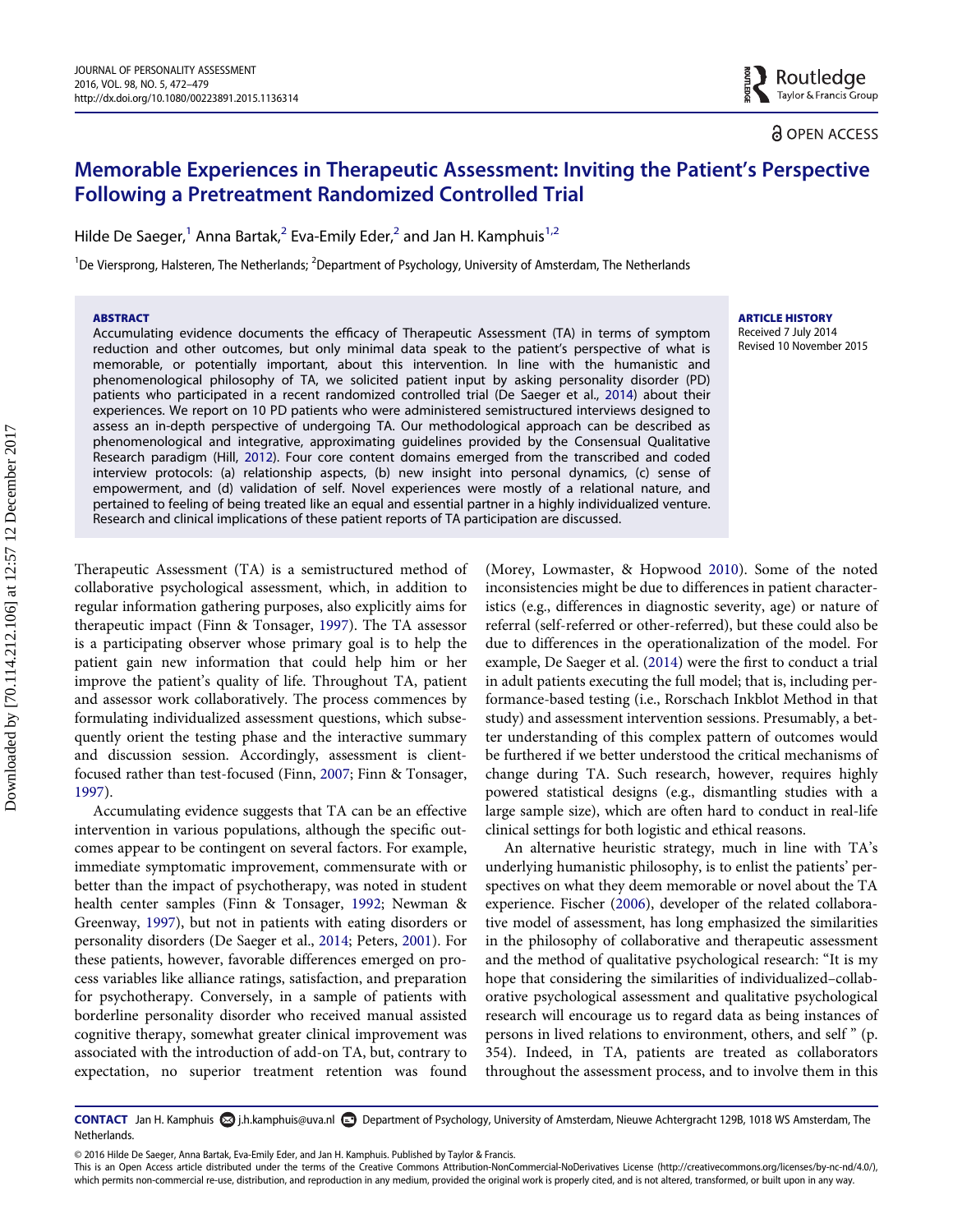## Memorable Experiences in Therapeutic Assessment: Inviting the Patient's Perspective Following a Pretreatment Randomized Controlled Trial

Hilde De Saeger,<sup>1</sup> Anna Bartak,<sup>[2](#page-1-0)</sup> Eva-Emily Eder,<sup>2</sup> and Jan H. Kamphuis<sup>[1,2](#page-1-0)</sup>

<span id="page-1-0"></span><sup>1</sup>De Viersprong, Halsteren, The Netherlands; <sup>2</sup>Department of Psychology, University of Amsterdam, The Netherlands

## **ABSTRACT**

Accumulating evidence documents the efficacy of Therapeutic Assessment (TA) in terms of symptom reduction and other outcomes, but only minimal data speak to the patient's perspective of what is memorable, or potentially important, about this intervention. In line with the humanistic and phenomenological philosophy of TA, we solicited patient input by asking personality disorder (PD) patients who participated in a recent randomized controlled trial (De Saeger et al., [2014](#page-7-0)) about their experiences. We report on 10 PD patients who were administered semistructured interviews designed to assess an in-depth perspective of undergoing TA. Our methodological approach can be described as phenomenological and integrative, approximating guidelines provided by the Consensual Qualitative Research paradigm (Hill, [2012](#page-7-1)). Four core content domains emerged from the transcribed and coded interview protocols: (a) relationship aspects, (b) new insight into personal dynamics, (c) sense of empowerment, and (d) validation of self. Novel experiences were mostly of a relational nature, and pertained to feeling of being treated like an equal and essential partner in a highly individualized venture. Research and clinical implications of these patient reports of TA participation are discussed.

Therapeutic Assessment (TA) is a semistructured method of collaborative psychological assessment, which, in addition to regular information gathering purposes, also explicitly aims for therapeutic impact (Finn & Tonsager, [1997](#page-7-2)). The TA assessor is a participating observer whose primary goal is to help the patient gain new information that could help him or her improve the patient's quality of life. Throughout TA, patient and assessor work collaboratively. The process commences by formulating individualized assessment questions, which subsequently orient the testing phase and the interactive summary and discussion session. Accordingly, assessment is clientfocused rather than test-focused (Finn, [2007;](#page-7-3) Finn & Tonsager, [1997\)](#page-7-2).

Accumulating evidence suggests that TA can be an effective intervention in various populations, although the specific outcomes appear to be contingent on several factors. For example, immediate symptomatic improvement, commensurate with or better than the impact of psychotherapy, was noted in student health center samples (Finn & Tonsager, [1992;](#page-7-4) Newman & Greenway, [1997\)](#page-8-0), but not in patients with eating disorders or personality disorders (De Saeger et al., [2014](#page-7-0); Peters, [2001\)](#page-8-1). For these patients, however, favorable differences emerged on process variables like alliance ratings, satisfaction, and preparation for psychotherapy. Conversely, in a sample of patients with borderline personality disorder who received manual assisted cognitive therapy, somewhat greater clinical improvement was associated with the introduction of add-on TA, but, contrary to expectation, no superior treatment retention was found

(Morey, Lowmaster, & Hopwood [2010\)](#page-8-2). Some of the noted inconsistencies might be due to differences in patient characteristics (e.g., differences in diagnostic severity, age) or nature of referral (self-referred or other-referred), but these could also be due to differences in the operationalization of the model. For example, De Saeger et al. ([2014\)](#page-7-0) were the first to conduct a trial in adult patients executing the full model; that is, including performance-based testing (i.e., Rorschach Inkblot Method in that study) and assessment intervention sessions. Presumably, a better understanding of this complex pattern of outcomes would be furthered if we better understood the critical mechanisms of change during TA. Such research, however, requires highly powered statistical designs (e.g., dismantling studies with a large sample size), which are often hard to conduct in real-life clinical settings for both logistic and ethical reasons.

An alternative heuristic strategy, much in line with TA's underlying humanistic philosophy, is to enlist the patients' perspectives on what they deem memorable or novel about the TA experience. Fischer ([2006\)](#page-7-5), developer of the related collaborative model of assessment, has long emphasized the similarities in the philosophy of collaborative and therapeutic assessment and the method of qualitative psychological research: "It is my hope that considering the similarities of individualized–collaborative psychological assessment and qualitative psychological research will encourage us to regard data as being instances of persons in lived relations to environment, others, and self " (p. 354). Indeed, in TA, patients are treated as collaborators throughout the assessment process, and to involve them in this

CONTACT Jan H. Kamphuis j.h.kamphuis@uva.nl Department of Psychology, University of Amsterdam, Nieuwe Achtergracht 129B, 1018 WS Amsterdam, The Netherlands.

© 2016 Hilde De Saeger, Anna Bartak, Eva-Emily Eder, and Jan H. Kamphuis. Published by Taylor & Francis.

ARTICLE HISTORY Received 7 July 2014 Revised 10 November 2015

**a** OPEN ACCESS

This is an Open Access article distributed under the terms of the Creative Commons Attribution-NonCommercial-NoDerivatives License [\(http://creativecommons.org/licenses/by-nc-nd/4.0/\)](http://creativecommons.org/licenses/by-nc-nd/4.0/), which permits non-commercial re-use, distribution, and reproduction in any medium, provided the original work is properly cited, and is not altered, transformed, or built upon in any way.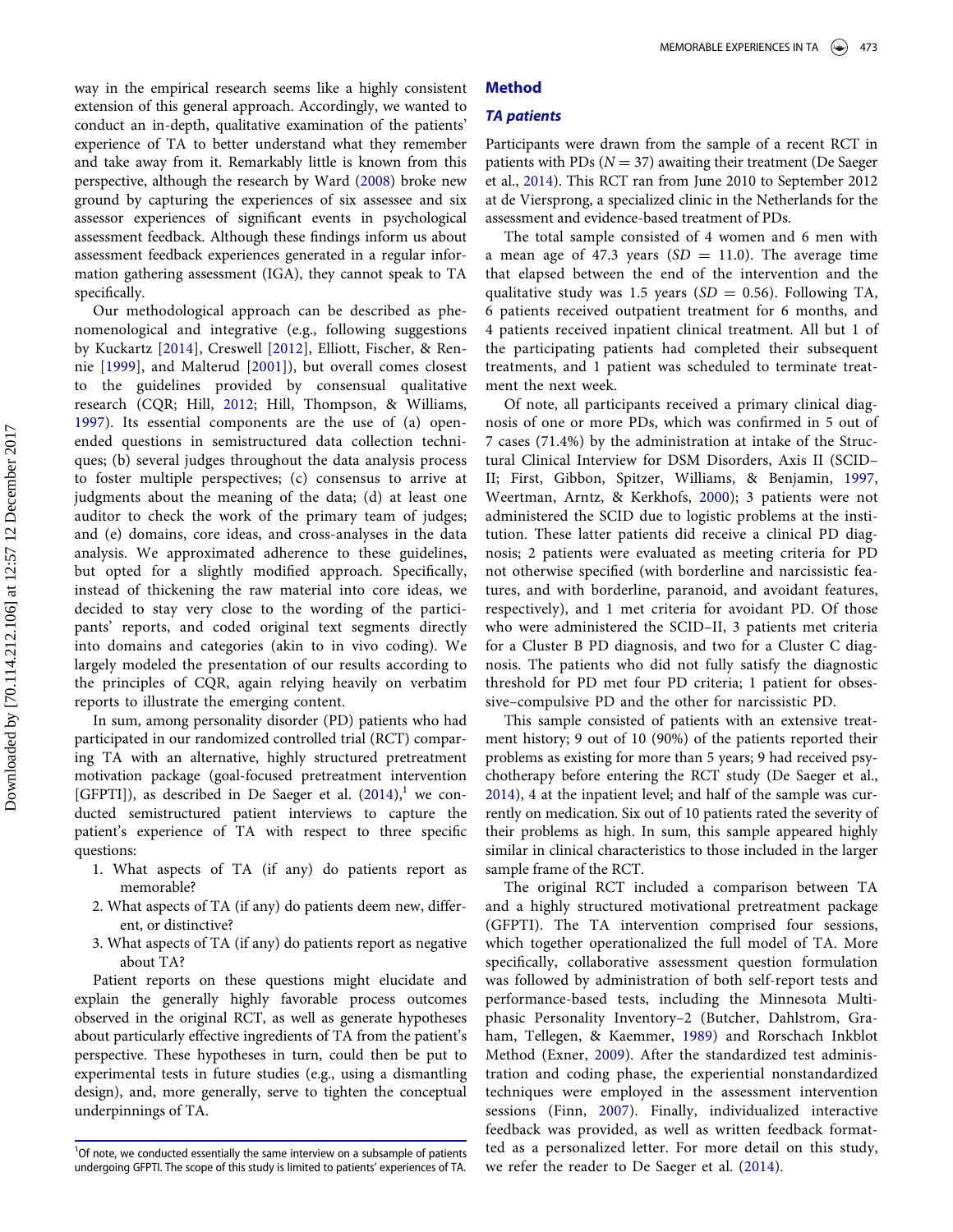way in the empirical research seems like a highly consistent extension of this general approach. Accordingly, we wanted to conduct an in-depth, qualitative examination of the patients' experience of TA to better understand what they remember and take away from it. Remarkably little is known from this perspective, although the research by Ward ([2008\)](#page-8-3) broke new ground by capturing the experiences of six assessee and six assessor experiences of significant events in psychological assessment feedback. Although these findings inform us about assessment feedback experiences generated in a regular information gathering assessment (IGA), they cannot speak to TA specifically.

Our methodological approach can be described as phenomenological and integrative (e.g., following suggestions by Kuckartz [[2014](#page-8-4)], Creswell [\[2012\]](#page-7-6), Elliott, Fischer, & Rennie [[1999](#page-7-7)], and Malterud [[2001](#page-8-5)]), but overall comes closest to the guidelines provided by consensual qualitative research (CQR; Hill, [2012](#page-7-1); Hill, Thompson, & Williams, [1997](#page-8-6)). Its essential components are the use of (a) openended questions in semistructured data collection techniques; (b) several judges throughout the data analysis process to foster multiple perspectives; (c) consensus to arrive at judgments about the meaning of the data; (d) at least one auditor to check the work of the primary team of judges; and (e) domains, core ideas, and cross-analyses in the data analysis. We approximated adherence to these guidelines, but opted for a slightly modified approach. Specifically, instead of thickening the raw material into core ideas, we decided to stay very close to the wording of the participants' reports, and coded original text segments directly into domains and categories (akin to in vivo coding). We largely modeled the presentation of our results according to the principles of CQR, again relying heavily on verbatim reports to illustrate the emerging content.

In sum, among personality disorder (PD) patients who had participated in our randomized controlled trial (RCT) comparing TA with an alternative, highly structured pretreatment motivation package (goal-focused pretreatment intervention [GFPTI]), as described in De Saeger et al.  $(2014)$  $(2014)$ ,<sup>1</sup> we conducted semistructured patient interviews to capture the patient's experience of TA with respect to three specific questions:

- 1. What aspects of TA (if any) do patients report as memorable?
- 2. What aspects of TA (if any) do patients deem new, different, or distinctive?
- 3. What aspects of TA (if any) do patients report as negative about TA?

Patient reports on these questions might elucidate and explain the generally highly favorable process outcomes observed in the original RCT, as well as generate hypotheses about particularly effective ingredients of TA from the patient's perspective. These hypotheses in turn, could then be put to experimental tests in future studies (e.g., using a dismantling design), and, more generally, serve to tighten the conceptual underpinnings of TA.

## Method

## TA patients

Participants were drawn from the sample of a recent RCT in patients with PDs ( $N = 37$ ) awaiting their treatment (De Saeger et al., [2014\)](#page-7-0). This RCT ran from June 2010 to September 2012 at de Viersprong, a specialized clinic in the Netherlands for the assessment and evidence-based treatment of PDs.

The total sample consisted of 4 women and 6 men with a mean age of 47.3 years ( $SD = 11.0$ ). The average time that elapsed between the end of the intervention and the qualitative study was 1.5 years ( $SD = 0.56$ ). Following TA, 6 patients received outpatient treatment for 6 months, and 4 patients received inpatient clinical treatment. All but 1 of the participating patients had completed their subsequent treatments, and 1 patient was scheduled to terminate treatment the next week.

Of note, all participants received a primary clinical diagnosis of one or more PDs, which was confirmed in 5 out of 7 cases (71.4%) by the administration at intake of the Structural Clinical Interview for DSM Disorders, Axis II (SCID– II; First, Gibbon, Spitzer, Williams, & Benjamin, [1997,](#page-7-8) Weertman, Arntz, & Kerkhofs, [2000\)](#page-8-7); 3 patients were not administered the SCID due to logistic problems at the institution. These latter patients did receive a clinical PD diagnosis; 2 patients were evaluated as meeting criteria for PD not otherwise specified (with borderline and narcissistic features, and with borderline, paranoid, and avoidant features, respectively), and 1 met criteria for avoidant PD. Of those who were administered the SCID–II, 3 patients met criteria for a Cluster B PD diagnosis, and two for a Cluster C diagnosis. The patients who did not fully satisfy the diagnostic threshold for PD met four PD criteria; 1 patient for obsessive–compulsive PD and the other for narcissistic PD.

This sample consisted of patients with an extensive treatment history; 9 out of 10 (90%) of the patients reported their problems as existing for more than 5 years; 9 had received psychotherapy before entering the RCT study (De Saeger et al., [2014](#page-7-0)), 4 at the inpatient level; and half of the sample was currently on medication. Six out of 10 patients rated the severity of their problems as high. In sum, this sample appeared highly similar in clinical characteristics to those included in the larger sample frame of the RCT.

The original RCT included a comparison between TA and a highly structured motivational pretreatment package (GFPTI). The TA intervention comprised four sessions, which together operationalized the full model of TA. More specifically, collaborative assessment question formulation was followed by administration of both self-report tests and performance-based tests, including the Minnesota Multiphasic Personality Inventory–2 (Butcher, Dahlstrom, Graham, Tellegen, & Kaemmer, [1989\)](#page-7-9) and Rorschach Inkblot Method (Exner, [2009\)](#page-7-10). After the standardized test administration and coding phase, the experiential nonstandardized techniques were employed in the assessment intervention sessions (Finn, [2007](#page-7-3)). Finally, individualized interactive feedback was provided, as well as written feedback formatted as a personalized letter. For more detail on this study, we refer the reader to De Saeger et al. [\(2014\)](#page-7-0).

<sup>&</sup>lt;sup>1</sup>Of note, we conducted essentially the same interview on a subsample of patients undergoing GFPTI. The scope of this study is limited to patients' experiences of TA.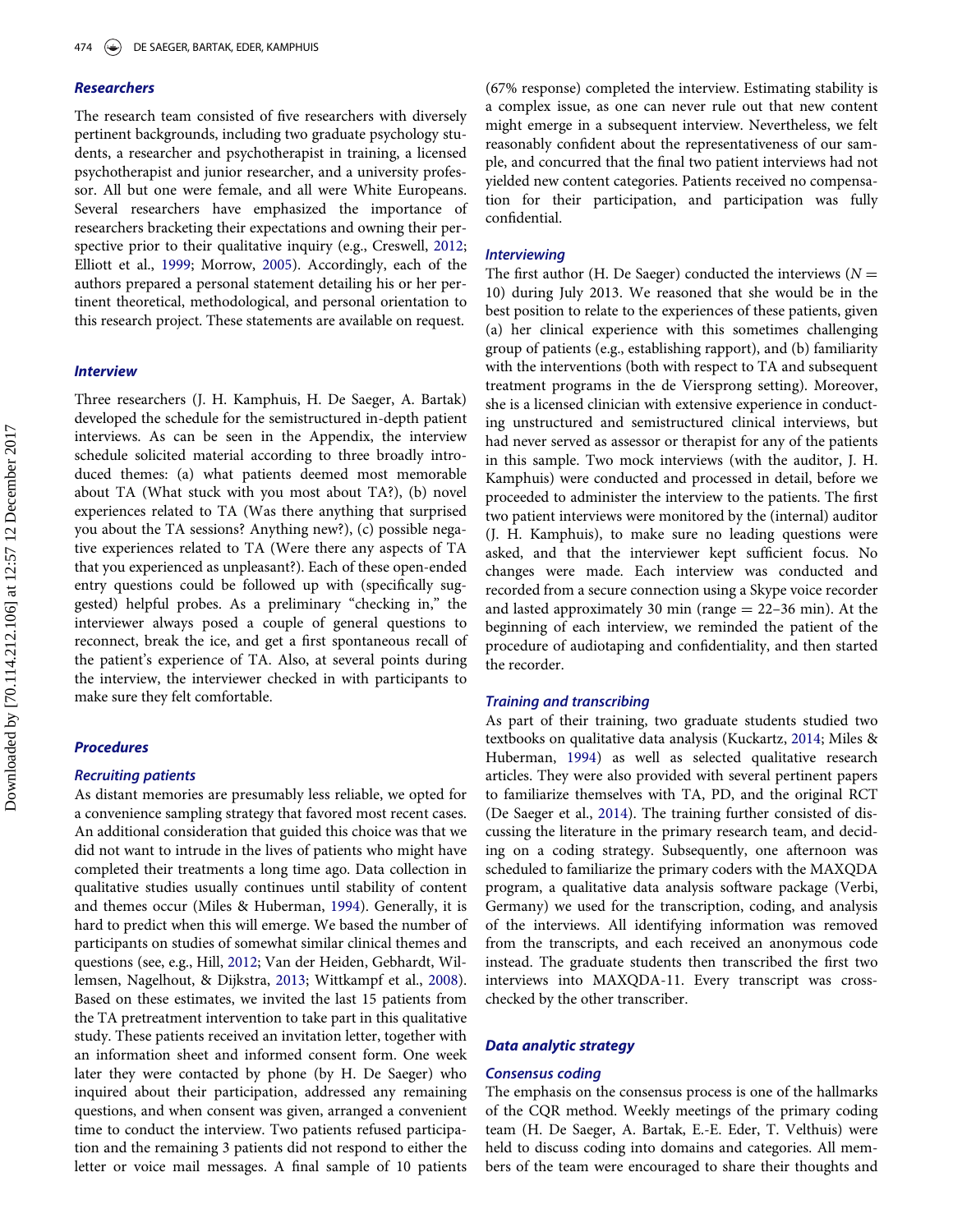## Researchers

The research team consisted of five researchers with diversely pertinent backgrounds, including two graduate psychology students, a researcher and psychotherapist in training, a licensed psychotherapist and junior researcher, and a university professor. All but one were female, and all were White Europeans. Several researchers have emphasized the importance of researchers bracketing their expectations and owning their perspective prior to their qualitative inquiry (e.g., Creswell, [2012;](#page-7-6) Elliott et al., [1999;](#page-7-7) Morrow, [2005\)](#page-8-8). Accordingly, each of the authors prepared a personal statement detailing his or her pertinent theoretical, methodological, and personal orientation to this research project. These statements are available on request.

#### Interview

Three researchers (J. H. Kamphuis, H. De Saeger, A. Bartak) developed the schedule for the semistructured in-depth patient interviews. As can be seen in the Appendix, the interview schedule solicited material according to three broadly introduced themes: (a) what patients deemed most memorable about TA (What stuck with you most about TA?), (b) novel experiences related to TA (Was there anything that surprised you about the TA sessions? Anything new?), (c) possible negative experiences related to TA (Were there any aspects of TA that you experienced as unpleasant?). Each of these open-ended entry questions could be followed up with (specifically suggested) helpful probes. As a preliminary "checking in," the interviewer always posed a couple of general questions to reconnect, break the ice, and get a first spontaneous recall of the patient's experience of TA. Also, at several points during the interview, the interviewer checked in with participants to make sure they felt comfortable.

## **Procedures**

#### Recruiting patients

As distant memories are presumably less reliable, we opted for a convenience sampling strategy that favored most recent cases. An additional consideration that guided this choice was that we did not want to intrude in the lives of patients who might have completed their treatments a long time ago. Data collection in qualitative studies usually continues until stability of content and themes occur (Miles & Huberman, [1994](#page-8-9)). Generally, it is hard to predict when this will emerge. We based the number of participants on studies of somewhat similar clinical themes and questions (see, e.g., Hill, [2012](#page-7-1); Van der Heiden, Gebhardt, Willemsen, Nagelhout, & Dijkstra, [2013](#page-8-10); Wittkampf et al., [2008](#page-8-11)). Based on these estimates, we invited the last 15 patients from the TA pretreatment intervention to take part in this qualitative study. These patients received an invitation letter, together with an information sheet and informed consent form. One week later they were contacted by phone (by H. De Saeger) who inquired about their participation, addressed any remaining questions, and when consent was given, arranged a convenient time to conduct the interview. Two patients refused participation and the remaining 3 patients did not respond to either the letter or voice mail messages. A final sample of 10 patients

(67% response) completed the interview. Estimating stability is a complex issue, as one can never rule out that new content might emerge in a subsequent interview. Nevertheless, we felt reasonably confident about the representativeness of our sample, and concurred that the final two patient interviews had not yielded new content categories. Patients received no compensation for their participation, and participation was fully confidential.

## **Interviewing**

The first author (H. De Saeger) conducted the interviews ( $N =$ 10) during July 2013. We reasoned that she would be in the best position to relate to the experiences of these patients, given (a) her clinical experience with this sometimes challenging group of patients (e.g., establishing rapport), and (b) familiarity with the interventions (both with respect to TA and subsequent treatment programs in the de Viersprong setting). Moreover, she is a licensed clinician with extensive experience in conducting unstructured and semistructured clinical interviews, but had never served as assessor or therapist for any of the patients in this sample. Two mock interviews (with the auditor, J. H. Kamphuis) were conducted and processed in detail, before we proceeded to administer the interview to the patients. The first two patient interviews were monitored by the (internal) auditor (J. H. Kamphuis), to make sure no leading questions were asked, and that the interviewer kept sufficient focus. No changes were made. Each interview was conducted and recorded from a secure connection using a Skype voice recorder and lasted approximately 30 min (range  $= 22-36$  min). At the beginning of each interview, we reminded the patient of the procedure of audiotaping and confidentiality, and then started the recorder.

#### Training and transcribing

As part of their training, two graduate students studied two textbooks on qualitative data analysis (Kuckartz, [2014;](#page-8-4) Miles & Huberman, [1994](#page-8-9)) as well as selected qualitative research articles. They were also provided with several pertinent papers to familiarize themselves with TA, PD, and the original RCT (De Saeger et al., [2014](#page-7-0)). The training further consisted of discussing the literature in the primary research team, and deciding on a coding strategy. Subsequently, one afternoon was scheduled to familiarize the primary coders with the MAXQDA program, a qualitative data analysis software package (Verbi, Germany) we used for the transcription, coding, and analysis of the interviews. All identifying information was removed from the transcripts, and each received an anonymous code instead. The graduate students then transcribed the first two interviews into MAXQDA-11. Every transcript was crosschecked by the other transcriber.

#### Data analytic strategy

#### Consensus coding

The emphasis on the consensus process is one of the hallmarks of the CQR method. Weekly meetings of the primary coding team (H. De Saeger, A. Bartak, E.-E. Eder, T. Velthuis) were held to discuss coding into domains and categories. All members of the team were encouraged to share their thoughts and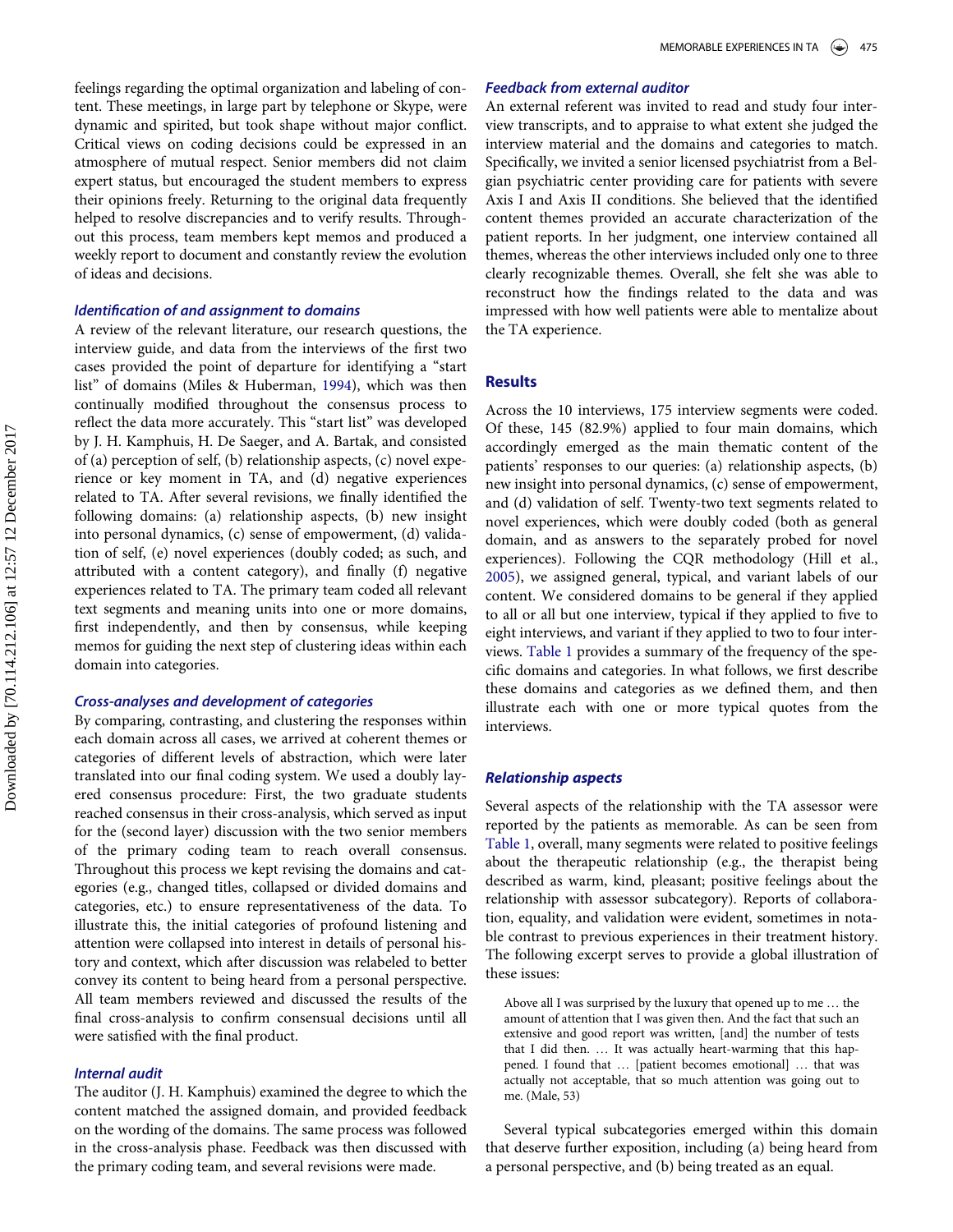feelings regarding the optimal organization and labeling of content. These meetings, in large part by telephone or Skype, were dynamic and spirited, but took shape without major conflict. Critical views on coding decisions could be expressed in an atmosphere of mutual respect. Senior members did not claim expert status, but encouraged the student members to express their opinions freely. Returning to the original data frequently helped to resolve discrepancies and to verify results. Throughout this process, team members kept memos and produced a weekly report to document and constantly review the evolution of ideas and decisions.

### Identification of and assignment to domains

A review of the relevant literature, our research questions, the interview guide, and data from the interviews of the first two cases provided the point of departure for identifying a "start list" of domains (Miles & Huberman, [1994\)](#page-8-9), which was then continually modified throughout the consensus process to reflect the data more accurately. This "start list" was developed by J. H. Kamphuis, H. De Saeger, and A. Bartak, and consisted of (a) perception of self, (b) relationship aspects, (c) novel experience or key moment in TA, and (d) negative experiences related to TA. After several revisions, we finally identified the following domains: (a) relationship aspects, (b) new insight into personal dynamics, (c) sense of empowerment, (d) validation of self, (e) novel experiences (doubly coded; as such, and attributed with a content category), and finally (f) negative experiences related to TA. The primary team coded all relevant text segments and meaning units into one or more domains, first independently, and then by consensus, while keeping memos for guiding the next step of clustering ideas within each domain into categories.

## Cross-analyses and development of categories

By comparing, contrasting, and clustering the responses within each domain across all cases, we arrived at coherent themes or categories of different levels of abstraction, which were later translated into our final coding system. We used a doubly layered consensus procedure: First, the two graduate students reached consensus in their cross-analysis, which served as input for the (second layer) discussion with the two senior members of the primary coding team to reach overall consensus. Throughout this process we kept revising the domains and categories (e.g., changed titles, collapsed or divided domains and categories, etc.) to ensure representativeness of the data. To illustrate this, the initial categories of profound listening and attention were collapsed into interest in details of personal history and context, which after discussion was relabeled to better convey its content to being heard from a personal perspective. All team members reviewed and discussed the results of the final cross-analysis to confirm consensual decisions until all were satisfied with the final product.

### Internal audit

The auditor (J. H. Kamphuis) examined the degree to which the content matched the assigned domain, and provided feedback on the wording of the domains. The same process was followed in the cross-analysis phase. Feedback was then discussed with the primary coding team, and several revisions were made.

## Feedback from external auditor

An external referent was invited to read and study four interview transcripts, and to appraise to what extent she judged the interview material and the domains and categories to match. Specifically, we invited a senior licensed psychiatrist from a Belgian psychiatric center providing care for patients with severe Axis I and Axis II conditions. She believed that the identified content themes provided an accurate characterization of the patient reports. In her judgment, one interview contained all themes, whereas the other interviews included only one to three clearly recognizable themes. Overall, she felt she was able to reconstruct how the findings related to the data and was impressed with how well patients were able to mentalize about the TA experience.

## **Results**

Across the 10 interviews, 175 interview segments were coded. Of these, 145 (82.9%) applied to four main domains, which accordingly emerged as the main thematic content of the patients' responses to our queries: (a) relationship aspects, (b) new insight into personal dynamics, (c) sense of empowerment, and (d) validation of self. Twenty-two text segments related to novel experiences, which were doubly coded (both as general domain, and as answers to the separately probed for novel experiences). Following the CQR methodology (Hill et al., [2005](#page-7-11)), we assigned general, typical, and variant labels of our content. We considered domains to be general if they applied to all or all but one interview, typical if they applied to five to eight interviews, and variant if they applied to two to four interviews. [Table 1](#page-5-0) provides a summary of the frequency of the specific domains and categories. In what follows, we first describe these domains and categories as we defined them, and then illustrate each with one or more typical quotes from the interviews.

## Relationship aspects

Several aspects of the relationship with the TA assessor were reported by the patients as memorable. As can be seen from [Table 1](#page-5-0), overall, many segments were related to positive feelings about the therapeutic relationship (e.g., the therapist being described as warm, kind, pleasant; positive feelings about the relationship with assessor subcategory). Reports of collaboration, equality, and validation were evident, sometimes in notable contrast to previous experiences in their treatment history. The following excerpt serves to provide a global illustration of these issues:

Above all I was surprised by the luxury that opened up to me … the amount of attention that I was given then. And the fact that such an extensive and good report was written, [and] the number of tests that I did then. … It was actually heart-warming that this happened. I found that … [patient becomes emotional] … that was actually not acceptable, that so much attention was going out to me. (Male, 53)

Several typical subcategories emerged within this domain that deserve further exposition, including (a) being heard from a personal perspective, and (b) being treated as an equal.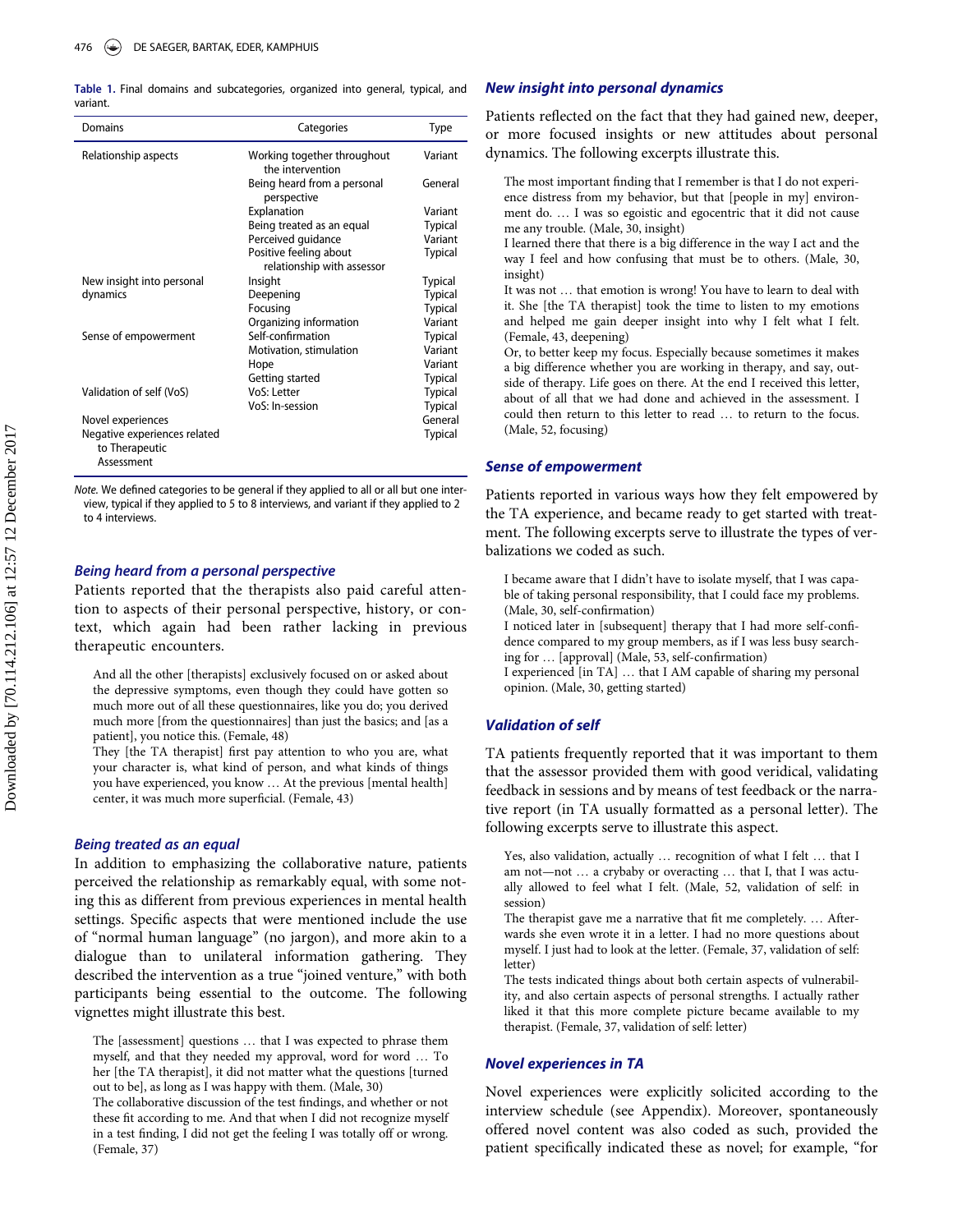Table 1. Final domains and subcategories, organized into general, typical, and variant.

| Domains                                                      | Categories                                      | Type           |
|--------------------------------------------------------------|-------------------------------------------------|----------------|
| Relationship aspects                                         | Working together throughout<br>the intervention | Variant        |
|                                                              | Being heard from a personal<br>perspective      | General        |
|                                                              | Explanation                                     | Variant        |
|                                                              | Being treated as an equal                       | <b>Typical</b> |
|                                                              | Perceived guidance                              | Variant        |
|                                                              | Positive feeling about                          | <b>Typical</b> |
|                                                              | relationship with assessor                      |                |
| New insight into personal                                    | Insight                                         | <b>Typical</b> |
| dynamics                                                     | Deepening                                       | <b>Typical</b> |
|                                                              | Focusing                                        | <b>Typical</b> |
|                                                              | Organizing information                          | Variant        |
| Sense of empowerment                                         | Self-confirmation                               | <b>Typical</b> |
|                                                              | Motivation, stimulation                         | Variant        |
|                                                              | Hope                                            | Variant        |
|                                                              | Getting started                                 | <b>Typical</b> |
| Validation of self (VoS)                                     | VoS: Letter                                     | <b>Typical</b> |
|                                                              | VoS: In-session                                 | <b>Typical</b> |
| Novel experiences                                            |                                                 | General        |
| Negative experiences related<br>to Therapeutic<br>Assessment |                                                 | <b>Typical</b> |

<span id="page-5-0"></span>Note. We defined categories to be general if they applied to all or all but one interview, typical if they applied to 5 to 8 interviews, and variant if they applied to 2 to 4 interviews.

## Being heard from a personal perspective

Patients reported that the therapists also paid careful attention to aspects of their personal perspective, history, or context, which again had been rather lacking in previous therapeutic encounters.

And all the other [therapists] exclusively focused on or asked about the depressive symptoms, even though they could have gotten so much more out of all these questionnaires, like you do; you derived much more [from the questionnaires] than just the basics; and [as a patient], you notice this. (Female, 48)

They [the TA therapist] first pay attention to who you are, what your character is, what kind of person, and what kinds of things you have experienced, you know … At the previous [mental health] center, it was much more superficial. (Female, 43)

### Being treated as an equal

In addition to emphasizing the collaborative nature, patients perceived the relationship as remarkably equal, with some noting this as different from previous experiences in mental health settings. Specific aspects that were mentioned include the use of "normal human language" (no jargon), and more akin to a dialogue than to unilateral information gathering. They described the intervention as a true "joined venture," with both participants being essential to the outcome. The following vignettes might illustrate this best.

### New insight into personal dynamics

Patients reflected on the fact that they had gained new, deeper, or more focused insights or new attitudes about personal dynamics. The following excerpts illustrate this.

The most important finding that I remember is that I do not experience distress from my behavior, but that [people in my] environment do. … I was so egoistic and egocentric that it did not cause me any trouble. (Male, 30, insight)

I learned there that there is a big difference in the way I act and the way I feel and how confusing that must be to others. (Male, 30, insight)

It was not … that emotion is wrong! You have to learn to deal with it. She [the TA therapist] took the time to listen to my emotions and helped me gain deeper insight into why I felt what I felt. (Female, 43, deepening)

Or, to better keep my focus. Especially because sometimes it makes a big difference whether you are working in therapy, and say, outside of therapy. Life goes on there. At the end I received this letter, about of all that we had done and achieved in the assessment. I could then return to this letter to read … to return to the focus. (Male, 52, focusing)

#### Sense of empowerment

Patients reported in various ways how they felt empowered by the TA experience, and became ready to get started with treatment. The following excerpts serve to illustrate the types of verbalizations we coded as such.

I became aware that I didn't have to isolate myself, that I was capable of taking personal responsibility, that I could face my problems. (Male, 30, self-confirmation)

I noticed later in [subsequent] therapy that I had more self-confidence compared to my group members, as if I was less busy searching for … [approval] (Male, 53, self-confirmation)

I experienced [in TA] … that I AM capable of sharing my personal opinion. (Male, 30, getting started)

## Validation of self

TA patients frequently reported that it was important to them that the assessor provided them with good veridical, validating feedback in sessions and by means of test feedback or the narrative report (in TA usually formatted as a personal letter). The following excerpts serve to illustrate this aspect.

Yes, also validation, actually … recognition of what I felt … that I am not—not … a crybaby or overacting … that I, that I was actually allowed to feel what I felt. (Male, 52, validation of self: in session)

The therapist gave me a narrative that fit me completely. … Afterwards she even wrote it in a letter. I had no more questions about myself. I just had to look at the letter. (Female, 37, validation of self: letter)

The tests indicated things about both certain aspects of vulnerability, and also certain aspects of personal strengths. I actually rather liked it that this more complete picture became available to my therapist. (Female, 37, validation of self: letter)

#### Novel experiences in TA

Novel experiences were explicitly solicited according to the interview schedule (see Appendix). Moreover, spontaneously offered novel content was also coded as such, provided the patient specifically indicated these as novel; for example, "for

The [assessment] questions … that I was expected to phrase them myself, and that they needed my approval, word for word ... To her [the TA therapist], it did not matter what the questions [turned out to be], as long as I was happy with them. (Male, 30)

The collaborative discussion of the test findings, and whether or not these fit according to me. And that when I did not recognize myself in a test finding, I did not get the feeling I was totally off or wrong. (Female, 37)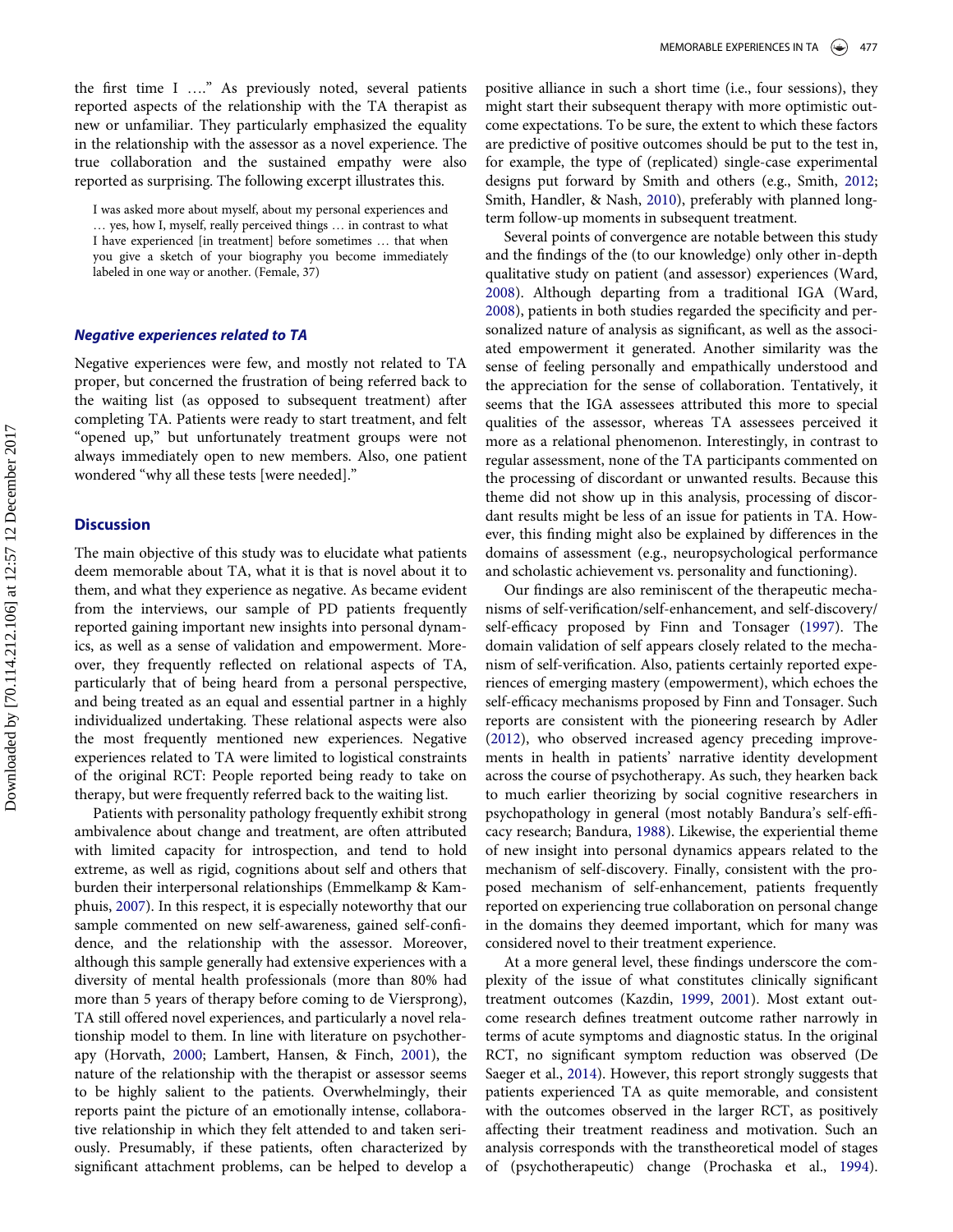the first time I …." As previously noted, several patients reported aspects of the relationship with the TA therapist as new or unfamiliar. They particularly emphasized the equality in the relationship with the assessor as a novel experience. The true collaboration and the sustained empathy were also reported as surprising. The following excerpt illustrates this.

I was asked more about myself, about my personal experiences and … yes, how I, myself, really perceived things … in contrast to what I have experienced [in treatment] before sometimes … that when you give a sketch of your biography you become immediately labeled in one way or another. (Female, 37)

#### Negative experiences related to TA

Negative experiences were few, and mostly not related to TA proper, but concerned the frustration of being referred back to the waiting list (as opposed to subsequent treatment) after completing TA. Patients were ready to start treatment, and felt "opened up," but unfortunately treatment groups were not always immediately open to new members. Also, one patient wondered "why all these tests [were needed]."

#### **Discussion**

The main objective of this study was to elucidate what patients deem memorable about TA, what it is that is novel about it to them, and what they experience as negative. As became evident from the interviews, our sample of PD patients frequently reported gaining important new insights into personal dynamics, as well as a sense of validation and empowerment. Moreover, they frequently reflected on relational aspects of TA, particularly that of being heard from a personal perspective, and being treated as an equal and essential partner in a highly individualized undertaking. These relational aspects were also the most frequently mentioned new experiences. Negative experiences related to TA were limited to logistical constraints of the original RCT: People reported being ready to take on therapy, but were frequently referred back to the waiting list.

Patients with personality pathology frequently exhibit strong ambivalence about change and treatment, are often attributed with limited capacity for introspection, and tend to hold extreme, as well as rigid, cognitions about self and others that burden their interpersonal relationships (Emmelkamp & Kamphuis, [2007\)](#page-7-12). In this respect, it is especially noteworthy that our sample commented on new self-awareness, gained self-confidence, and the relationship with the assessor. Moreover, although this sample generally had extensive experiences with a diversity of mental health professionals (more than 80% had more than 5 years of therapy before coming to de Viersprong), TA still offered novel experiences, and particularly a novel relationship model to them. In line with literature on psychotherapy (Horvath, [2000](#page-8-12); Lambert, Hansen, & Finch, [2001\)](#page-8-13), the nature of the relationship with the therapist or assessor seems to be highly salient to the patients. Overwhelmingly, their reports paint the picture of an emotionally intense, collaborative relationship in which they felt attended to and taken seriously. Presumably, if these patients, often characterized by significant attachment problems, can be helped to develop a positive alliance in such a short time (i.e., four sessions), they might start their subsequent therapy with more optimistic outcome expectations. To be sure, the extent to which these factors are predictive of positive outcomes should be put to the test in, for example, the type of (replicated) single-case experimental designs put forward by Smith and others (e.g., Smith, [2012;](#page-8-14) Smith, Handler, & Nash, [2010\)](#page-8-15), preferably with planned longterm follow-up moments in subsequent treatment.

Several points of convergence are notable between this study and the findings of the (to our knowledge) only other in-depth qualitative study on patient (and assessor) experiences (Ward, [2008](#page-8-3)). Although departing from a traditional IGA (Ward, [2008](#page-8-3)), patients in both studies regarded the specificity and personalized nature of analysis as significant, as well as the associated empowerment it generated. Another similarity was the sense of feeling personally and empathically understood and the appreciation for the sense of collaboration. Tentatively, it seems that the IGA assessees attributed this more to special qualities of the assessor, whereas TA assessees perceived it more as a relational phenomenon. Interestingly, in contrast to regular assessment, none of the TA participants commented on the processing of discordant or unwanted results. Because this theme did not show up in this analysis, processing of discordant results might be less of an issue for patients in TA. However, this finding might also be explained by differences in the domains of assessment (e.g., neuropsychological performance and scholastic achievement vs. personality and functioning).

Our findings are also reminiscent of the therapeutic mechanisms of self-verification/self-enhancement, and self-discovery/ self-efficacy proposed by Finn and Tonsager [\(1997\)](#page-7-2). The domain validation of self appears closely related to the mechanism of self-verification. Also, patients certainly reported experiences of emerging mastery (empowerment), which echoes the self-efficacy mechanisms proposed by Finn and Tonsager. Such reports are consistent with the pioneering research by Adler [\(2012\)](#page-7-13), who observed increased agency preceding improvements in health in patients' narrative identity development across the course of psychotherapy. As such, they hearken back to much earlier theorizing by social cognitive researchers in psychopathology in general (most notably Bandura's self-efficacy research; Bandura, [1988\)](#page-7-14). Likewise, the experiential theme of new insight into personal dynamics appears related to the mechanism of self-discovery. Finally, consistent with the proposed mechanism of self-enhancement, patients frequently reported on experiencing true collaboration on personal change in the domains they deemed important, which for many was considered novel to their treatment experience.

At a more general level, these findings underscore the complexity of the issue of what constitutes clinically significant treatment outcomes (Kazdin, [1999](#page-8-16), [2001\)](#page-8-17). Most extant outcome research defines treatment outcome rather narrowly in terms of acute symptoms and diagnostic status. In the original RCT, no significant symptom reduction was observed (De Saeger et al., [2014\)](#page-7-0). However, this report strongly suggests that patients experienced TA as quite memorable, and consistent with the outcomes observed in the larger RCT, as positively affecting their treatment readiness and motivation. Such an analysis corresponds with the transtheoretical model of stages of (psychotherapeutic) change (Prochaska et al., [1994\)](#page-8-18).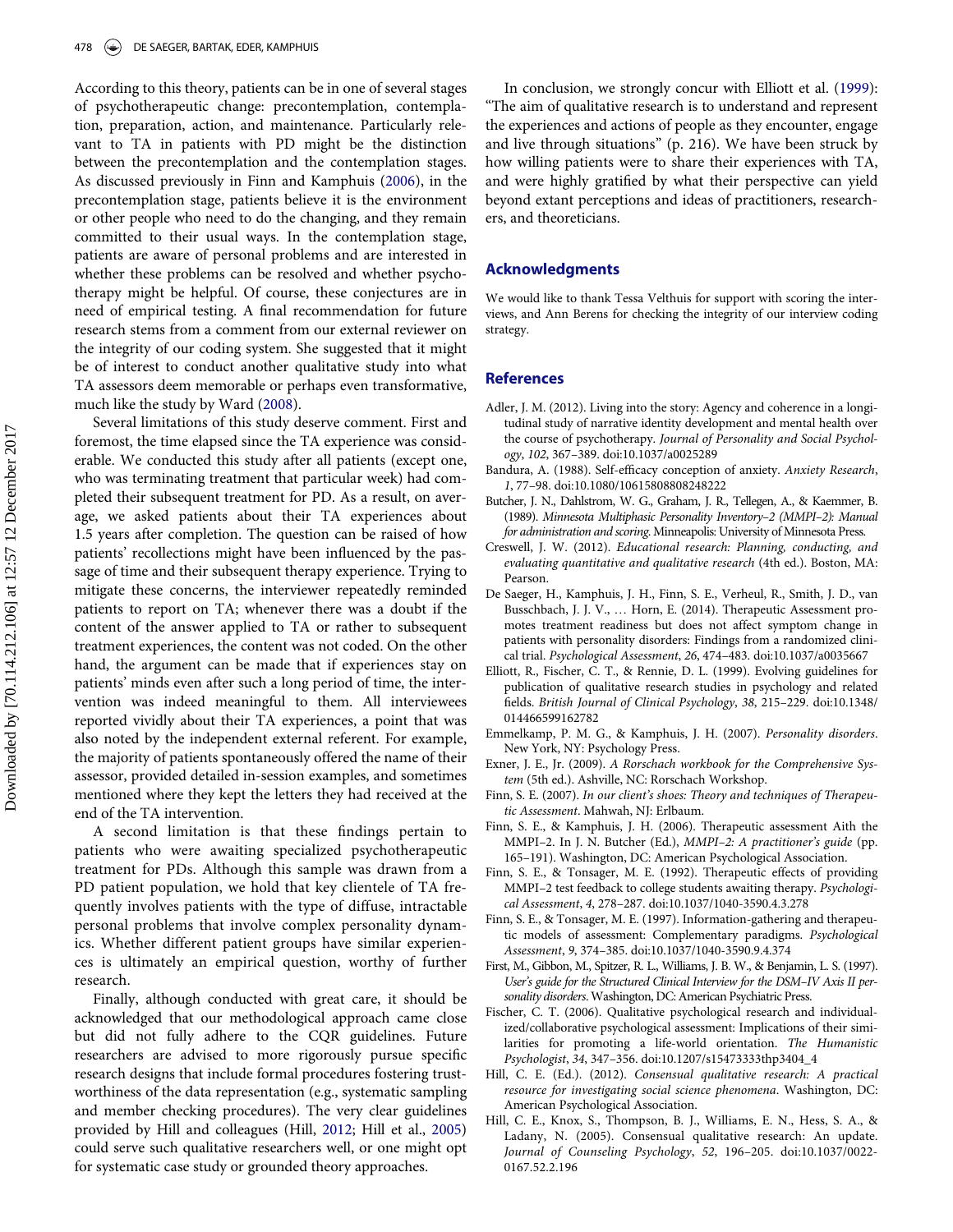According to this theory, patients can be in one of several stages of psychotherapeutic change: precontemplation, contemplation, preparation, action, and maintenance. Particularly relevant to TA in patients with PD might be the distinction between the precontemplation and the contemplation stages. As discussed previously in Finn and Kamphuis ([2006\)](#page-7-15), in the precontemplation stage, patients believe it is the environment or other people who need to do the changing, and they remain committed to their usual ways. In the contemplation stage, patients are aware of personal problems and are interested in whether these problems can be resolved and whether psychotherapy might be helpful. Of course, these conjectures are in need of empirical testing. A final recommendation for future research stems from a comment from our external reviewer on the integrity of our coding system. She suggested that it might be of interest to conduct another qualitative study into what TA assessors deem memorable or perhaps even transformative, much like the study by Ward [\(2008](#page-8-3)).

<span id="page-7-14"></span><span id="page-7-13"></span><span id="page-7-9"></span><span id="page-7-6"></span><span id="page-7-0"></span>Several limitations of this study deserve comment. First and foremost, the time elapsed since the TA experience was considerable. We conducted this study after all patients (except one, who was terminating treatment that particular week) had completed their subsequent treatment for PD. As a result, on average, we asked patients about their TA experiences about 1.5 years after completion. The question can be raised of how patients' recollections might have been influenced by the passage of time and their subsequent therapy experience. Trying to mitigate these concerns, the interviewer repeatedly reminded patients to report on TA; whenever there was a doubt if the content of the answer applied to TA or rather to subsequent treatment experiences, the content was not coded. On the other hand, the argument can be made that if experiences stay on patients' minds even after such a long period of time, the intervention was indeed meaningful to them. All interviewees reported vividly about their TA experiences, a point that was also noted by the independent external referent. For example, the majority of patients spontaneously offered the name of their assessor, provided detailed in-session examples, and sometimes mentioned where they kept the letters they had received at the end of the TA intervention.

<span id="page-7-15"></span><span id="page-7-12"></span><span id="page-7-10"></span><span id="page-7-7"></span><span id="page-7-4"></span><span id="page-7-3"></span>A second limitation is that these findings pertain to patients who were awaiting specialized psychotherapeutic treatment for PDs. Although this sample was drawn from a PD patient population, we hold that key clientele of TA frequently involves patients with the type of diffuse, intractable personal problems that involve complex personality dynamics. Whether different patient groups have similar experiences is ultimately an empirical question, worthy of further research.

<span id="page-7-11"></span><span id="page-7-8"></span><span id="page-7-5"></span><span id="page-7-2"></span><span id="page-7-1"></span>Finally, although conducted with great care, it should be acknowledged that our methodological approach came close but did not fully adhere to the CQR guidelines. Future researchers are advised to more rigorously pursue specific research designs that include formal procedures fostering trustworthiness of the data representation (e.g., systematic sampling and member checking procedures). The very clear guidelines provided by Hill and colleagues (Hill, [2012](#page-7-1); Hill et al., [2005\)](#page-7-11) could serve such qualitative researchers well, or one might opt for systematic case study or grounded theory approaches.

In conclusion, we strongly concur with Elliott et al. [\(1999\)](#page-7-7): "The aim of qualitative research is to understand and represent the experiences and actions of people as they encounter, engage and live through situations" (p. 216). We have been struck by how willing patients were to share their experiences with TA, and were highly gratified by what their perspective can yield beyond extant perceptions and ideas of practitioners, researchers, and theoreticians.

#### Acknowledgments

We would like to thank Tessa Velthuis for support with scoring the interviews, and Ann Berens for checking the integrity of our interview coding strategy.

## **References**

- Adler, J. M. (2012). Living into the story: Agency and coherence in a longitudinal study of narrative identity development and mental health over the course of psychotherapy. Journal of Personality and Social Psychology, 102, 367–389. doi[:10.1037/a0025289](http://dx.doi.org/10.1037/a0025289)
- Bandura, A. (1988). Self-efficacy conception of anxiety. Anxiety Research, 1, 77–98. doi:[10.1080/10615808808248222](http://dx.doi.org/10.1080/10615808808248222)
- Butcher, J. N., Dahlstrom, W. G., Graham, J. R., Tellegen, A., & Kaemmer, B. (1989). Minnesota Multiphasic Personality Inventory–2 (MMPI–2): Manual for administration and scoring. Minneapolis: University of Minnesota Press.
- Creswell, J. W. (2012). Educational research: Planning, conducting, and evaluating quantitative and qualitative research (4th ed.). Boston, MA: Pearson.
- De Saeger, H., Kamphuis, J. H., Finn, S. E., Verheul, R., Smith, J. D., van Busschbach, J. J. V., … Horn, E. (2014). Therapeutic Assessment promotes treatment readiness but does not affect symptom change in patients with personality disorders: Findings from a randomized clinical trial. Psychological Assessment, 26, 474–483. doi:[10.1037/a0035667](http://dx.doi.org/10.1037/a0035667)
- Elliott, R., Fischer, C. T., & Rennie, D. L. (1999). Evolving guidelines for publication of qualitative research studies in psychology and related fields. British Journal of Clinical Psychology, 38, 215–229. doi[:10.1348/](http://dx.doi.org/10.1348/014466599162782) [014466599162782](http://dx.doi.org/10.1348/014466599162782)
- Emmelkamp, P. M. G., & Kamphuis, J. H. (2007). Personality disorders. New York, NY: Psychology Press.
- Exner, J. E., Jr. (2009). A Rorschach workbook for the Comprehensive System (5th ed.). Ashville, NC: Rorschach Workshop.
- Finn, S. E. (2007). In our client's shoes: Theory and techniques of Therapeutic Assessment. Mahwah, NJ: Erlbaum.
- Finn, S. E., & Kamphuis, J. H. (2006). Therapeutic assessment Aith the MMPI–2. In J. N. Butcher (Ed.), MMPI–2: A practitioner's guide (pp. 165–191). Washington, DC: American Psychological Association.
- Finn, S. E., & Tonsager, M. E. (1992). Therapeutic effects of providing MMPI–2 test feedback to college students awaiting therapy. Psychological Assessment, 4, 278–287. doi:[10.1037/1040-3590.4.3.278](http://dx.doi.org/10.1037/1040-3590.4.3.278)
- Finn, S. E., & Tonsager, M. E. (1997). Information-gathering and therapeutic models of assessment: Complementary paradigms. Psychological Assessment, 9, 374–385. doi[:10.1037/1040-3590.9.4.374](http://dx.doi.org/10.1037/1040-3590.9.4.374)
- First, M., Gibbon, M., Spitzer, R. L., Williams, J. B. W., & Benjamin, L. S. (1997). User's guide for the Structured Clinical Interview for the DSM–IV Axis II personality disorders. Washington, DC: American Psychiatric Press.
- Fischer, C. T. (2006). Qualitative psychological research and individualized/collaborative psychological assessment: Implications of their similarities for promoting a life-world orientation. The Humanistic Psychologist, 34, 347–356. doi:[10.1207/s15473333thp3404\\_4](http://dx.doi.org/10.1207/s15473333thp3404_4)
- Hill, C. E. (Ed.). (2012). Consensual qualitative research: A practical resource for investigating social science phenomena. Washington, DC: American Psychological Association.
- Hill, C. E., Knox, S., Thompson, B. J., Williams, E. N., Hess, S. A., & Ladany, N. (2005). Consensual qualitative research: An update. Journal of Counseling Psychology, 52, 196–205. doi:[10.1037/0022-](http://dx.doi.org/10.1037/0022-0167.52.2.196) [0167.52.2.196](http://dx.doi.org/10.1037/0022-0167.52.2.196)